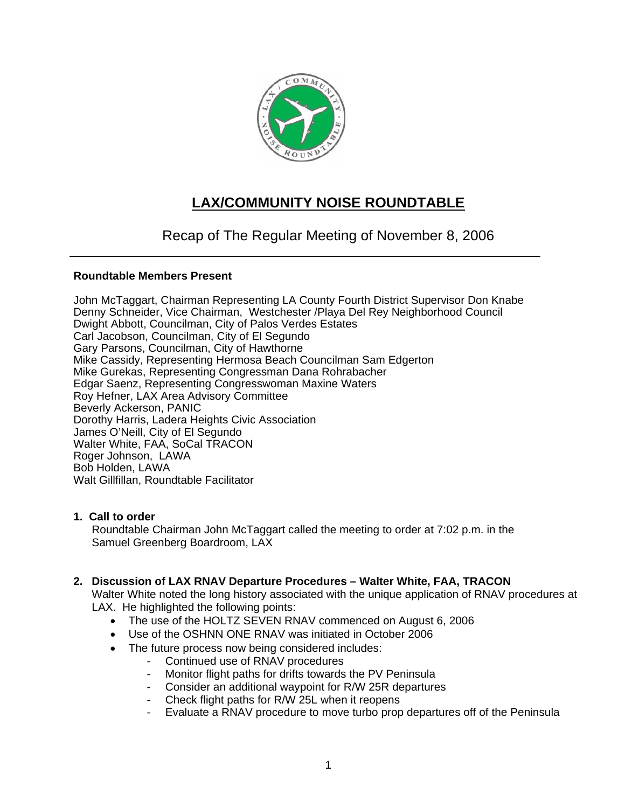

# **LAX/COMMUNITY NOISE ROUNDTABLE**

## Recap of The Regular Meeting of November 8, 2006

## **Roundtable Members Present**

John McTaggart, Chairman Representing LA County Fourth District Supervisor Don Knabe Denny Schneider, Vice Chairman, Westchester /Playa Del Rey Neighborhood Council Dwight Abbott, Councilman, City of Palos Verdes Estates Carl Jacobson, Councilman, City of El Segundo Gary Parsons, Councilman, City of Hawthorne Mike Cassidy, Representing Hermosa Beach Councilman Sam Edgerton Mike Gurekas, Representing Congressman Dana Rohrabacher Edgar Saenz, Representing Congresswoman Maxine Waters Roy Hefner, LAX Area Advisory Committee Beverly Ackerson, PANIC Dorothy Harris, Ladera Heights Civic Association James O'Neill, City of El Segundo Walter White, FAA, SoCal TRACON Roger Johnson, LAWA Bob Holden, LAWA Walt Gillfillan, Roundtable Facilitator

## **1. Call to order**

Roundtable Chairman John McTaggart called the meeting to order at 7:02 p.m. in the Samuel Greenberg Boardroom, LAX

## **2. Discussion of LAX RNAV Departure Procedures – Walter White, FAA, TRACON**

Walter White noted the long history associated with the unique application of RNAV procedures at LAX. He highlighted the following points:

- The use of the HOLTZ SEVEN RNAV commenced on August 6, 2006
- Use of the OSHNN ONE RNAV was initiated in October 2006
- The future process now being considered includes:
	- Continued use of RNAV procedures
	- Monitor flight paths for drifts towards the PV Peninsula
	- Consider an additional waypoint for R/W 25R departures
	- Check flight paths for R/W 25L when it reopens
	- Evaluate a RNAV procedure to move turbo prop departures off of the Peninsula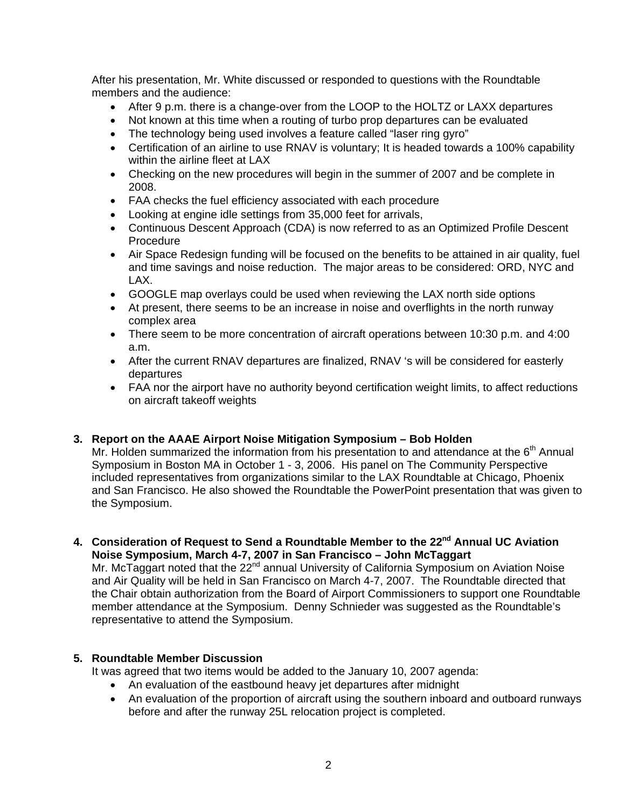After his presentation, Mr. White discussed or responded to questions with the Roundtable members and the audience:

- After 9 p.m. there is a change-over from the LOOP to the HOLTZ or LAXX departures
- Not known at this time when a routing of turbo prop departures can be evaluated
- The technology being used involves a feature called "laser ring gyro"
- Certification of an airline to use RNAV is voluntary; It is headed towards a 100% capability within the airline fleet at LAX
- Checking on the new procedures will begin in the summer of 2007 and be complete in 2008.
- FAA checks the fuel efficiency associated with each procedure
- Looking at engine idle settings from 35,000 feet for arrivals,
- Continuous Descent Approach (CDA) is now referred to as an Optimized Profile Descent Procedure
- Air Space Redesign funding will be focused on the benefits to be attained in air quality, fuel and time savings and noise reduction. The major areas to be considered: ORD, NYC and LAX.
- GOOGLE map overlays could be used when reviewing the LAX north side options
- At present, there seems to be an increase in noise and overflights in the north runway complex area
- There seem to be more concentration of aircraft operations between 10:30 p.m. and 4:00 a.m.
- After the current RNAV departures are finalized, RNAV 's will be considered for easterly departures
- FAA nor the airport have no authority beyond certification weight limits, to affect reductions on aircraft takeoff weights

## **3. Report on the AAAE Airport Noise Mitigation Symposium – Bob Holden**

Mr. Holden summarized the information from his presentation to and attendance at the  $6<sup>th</sup>$  Annual Symposium in Boston MA in October 1 - 3, 2006. His panel on The Community Perspective included representatives from organizations similar to the LAX Roundtable at Chicago, Phoenix and San Francisco. He also showed the Roundtable the PowerPoint presentation that was given to the Symposium.

4. Consideration of Request to Send a Roundtable Member to the 22<sup>nd</sup> Annual UC Aviation **Noise Symposium, March 4-7, 2007 in San Francisco – John McTaggart**

Mr. McTaggart noted that the 22<sup>nd</sup> annual University of California Symposium on Aviation Noise and Air Quality will be held in San Francisco on March 4-7, 2007. The Roundtable directed that the Chair obtain authorization from the Board of Airport Commissioners to support one Roundtable member attendance at the Symposium. Denny Schnieder was suggested as the Roundtable's representative to attend the Symposium.

## **5. Roundtable Member Discussion**

It was agreed that two items would be added to the January 10, 2007 agenda:

- An evaluation of the eastbound heavy jet departures after midnight
- An evaluation of the proportion of aircraft using the southern inboard and outboard runways before and after the runway 25L relocation project is completed.